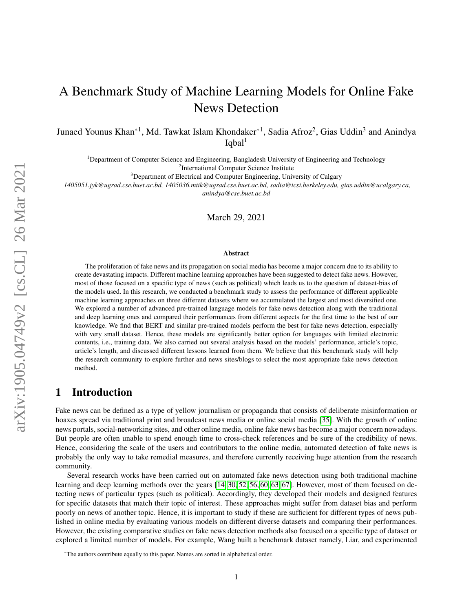# A Benchmark Study of Machine Learning Models for Online Fake News Detection

Junaed Younus Khan\*<sup>1</sup>, Md. Tawkat Islam Khondaker\*<sup>1</sup>, Sadia Afroz<sup>2</sup>, Gias Uddin<sup>3</sup> and Anindya  $Iqbal<sup>1</sup>$ 

<sup>1</sup>Department of Computer Science and Engineering, Bangladesh University of Engineering and Technology <sup>2</sup>International Computer Science Institute

<sup>3</sup>Department of Electrical and Computer Engineering, University of Calgary

*1405051.jyk@ugrad.cse.buet.ac.bd, 1405036.mtik@ugrad.cse.buet.ac.bd, sadia@icsi.berkeley.edu, gias.uddin@ucalgary.ca, anindya@cse.buet.ac.bd*

March 29, 2021

#### Abstract

The proliferation of fake news and its propagation on social media has become a major concern due to its ability to create devastating impacts. Different machine learning approaches have been suggested to detect fake news. However, most of those focused on a specific type of news (such as political) which leads us to the question of dataset-bias of the models used. In this research, we conducted a benchmark study to assess the performance of different applicable machine learning approaches on three different datasets where we accumulated the largest and most diversified one. We explored a number of advanced pre-trained language models for fake news detection along with the traditional and deep learning ones and compared their performances from different aspects for the first time to the best of our knowledge. We find that BERT and similar pre-trained models perform the best for fake news detection, especially with very small dataset. Hence, these models are significantly better option for languages with limited electronic contents, i.e., training data. We also carried out several analysis based on the models' performance, article's topic, article's length, and discussed different lessons learned from them. We believe that this benchmark study will help the research community to explore further and news sites/blogs to select the most appropriate fake news detection method.

# 1 Introduction

Fake news can be defined as a type of yellow journalism or propaganda that consists of deliberate misinformation or hoaxes spread via traditional print and broadcast news media or online social media [\[35\]](#page-19-0). With the growth of online news portals, social-networking sites, and other online media, online fake news has become a major concern nowadays. But people are often unable to spend enough time to cross-check references and be sure of the credibility of news. Hence, considering the scale of the users and contributors to the online media, automated detection of fake news is probably the only way to take remedial measures, and therefore currently receiving huge attention from the research community.

Several research works have been carried out on automated fake news detection using both traditional machine learning and deep learning methods over the years [\[14,](#page-18-0) [30,](#page-19-1) [52,](#page-20-0) [56,](#page-20-1) [60,](#page-20-2) [63,](#page-20-3) [67\]](#page-21-0). However, most of them focused on detecting news of particular types (such as political). Accordingly, they developed their models and designed features for specific datasets that match their topic of interest. These approaches might suffer from dataset bias and perform poorly on news of another topic. Hence, it is important to study if these are sufficient for different types of news published in online media by evaluating various models on different diverse datasets and comparing their performances. However, the existing comparative studies on fake news detection methods also focused on a specific type of dataset or explored a limited number of models. For example, Wang built a benchmark dataset namely, Liar, and experimented

<sup>\*</sup>The authors contribute equally to this paper. Names are sorted in alphabetical order.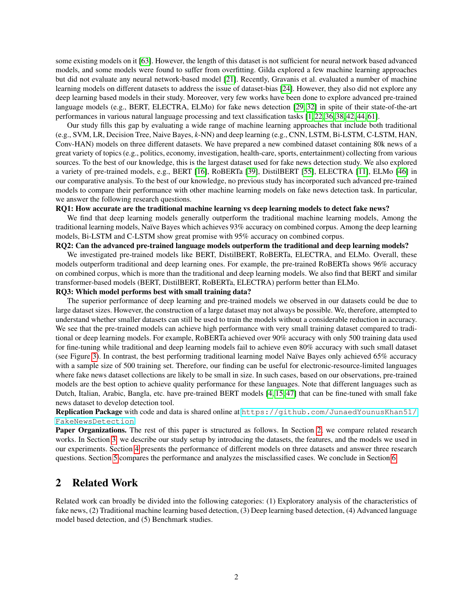some existing models on it [\[63\]](#page-20-3). However, the length of this dataset is not sufficient for neural network based advanced models, and some models were found to suffer from overfitting. Gilda explored a few machine learning approaches but did not evaluate any neural network-based model [\[21\]](#page-18-1). Recently, Gravanis et al. evaluated a number of machine learning models on different datasets to address the issue of dataset-bias [\[24\]](#page-18-2). However, they also did not explore any deep learning based models in their study. Moreover, very few works have been done to explore advanced pre-trained language models (e.g., BERT, ELECTRA, ELMo) for fake news detection [\[29,](#page-19-2) [32\]](#page-19-3) in spite of their state-of-the-art performances in various natural language processing and text classification tasks [\[1,](#page-17-0) [22,](#page-18-3) [36,](#page-19-4) [38,](#page-19-5) [42,](#page-19-6) [44,](#page-19-7) [61\]](#page-20-4).

Our study fills this gap by evaluating a wide range of machine learning approaches that include both traditional (e.g., SVM, LR, Decision Tree, Naive Bayes, *k*-NN) and deep learning (e.g., CNN, LSTM, Bi-LSTM, C-LSTM, HAN, Conv-HAN) models on three different datasets. We have prepared a new combined dataset containing 80k news of a great variety of topics (e.g., politics, economy, investigation, health-care, sports, entertainment) collecting from various sources. To the best of our knowledge, this is the largest dataset used for fake news detection study. We also explored a variety of pre-trained models, e.g., BERT [\[16\]](#page-18-4), RoBERTa [\[39\]](#page-19-8), DistilBERT [\[55\]](#page-20-5), ELECTRA [\[11\]](#page-18-5), ELMo [\[46\]](#page-19-9) in our comparative analysis. To the best of our knowledge, no previous study has incorporated such advanced pre-trained models to compare their performance with other machine learning models on fake news detection task. In particular, we answer the following research questions.

#### RQ1: How accurate are the traditional machine learning vs deep learning models to detect fake news?

We find that deep learning models generally outperform the traditional machine learning models, Among the traditional learning models, Naïve Bayes which achieves 93% accuracy on combined corpus. Among the deep learning models, Bi-LSTM and C-LSTM show great promise with 95% accuracy on combined corpus.

#### RQ2: Can the advanced pre-trained language models outperform the traditional and deep learning models?

We investigated pre-trained models like BERT, DistilBERT, RoBERTa, ELECTRA, and ELMo. Overall, these models outperform traditional and deep learning ones. For example, the pre-trained RoBERTa shows 96% accuracy on combined corpus, which is more than the traditional and deep learning models. We also find that BERT and similar transformer-based models (BERT, DistilBERT, RoBERTa, ELECTRA) perform better than ELMo.

#### RQ3: Which model performs best with small training data?

The superior performance of deep learning and pre-trained models we observed in our datasets could be due to large dataset sizes. However, the construction of a large dataset may not always be possible. We, therefore, attempted to understand whether smaller datasets can still be used to train the models without a considerable reduction in accuracy. We see that the pre-trained models can achieve high performance with very small training dataset compared to traditional or deep learning models. For example, RoBERTa achieved over 90% accuracy with only 500 training data used for fine-tuning while traditional and deep learning models fail to achieve even 80% accuracy with such small dataset (see Figure [3\)](#page-12-0). In contrast, the best performing traditional learning model Naïve Bayes only achieved  $65\%$  accuracy with a sample size of 500 training set. Therefore, our finding can be useful for electronic-resource-limited languages where fake news dataset collections are likely to be small in size. In such cases, based on our observations, pre-trained models are the best option to achieve quality performance for these languages. Note that different languages such as Dutch, Italian, Arabic, Bangla, etc. have pre-trained BERT models [\[4,](#page-17-1) [15,](#page-18-6) [47\]](#page-19-10) that can be fine-tuned with small fake news dataset to develop detection tool.

Replication Package with code and data is shared online at [https://github.com/JunaedYounusKhan51/](https://github.com/JunaedYounusKhan51/FakeNewsDetection) [FakeNewsDetection](https://github.com/JunaedYounusKhan51/FakeNewsDetection).

Paper Organizations. The rest of this paper is structured as follows. In Section [2,](#page-1-0) we compare related research works. In Section [3,](#page-4-0) we describe our study setup by introducing the datasets, the features, and the models we used in our experiments. Section [4](#page-9-0) presents the performance of different models on three datasets and answer three research questions. Section [5](#page-13-0) compares the performance and analyzes the misclassified cases. We conclude in Section [6.](#page-17-2)

# <span id="page-1-0"></span>2 Related Work

Related work can broadly be divided into the following categories: (1) Exploratory analysis of the characteristics of fake news, (2) Traditional machine learning based detection, (3) Deep learning based detection, (4) Advanced language model based detection, and (5) Benchmark studies.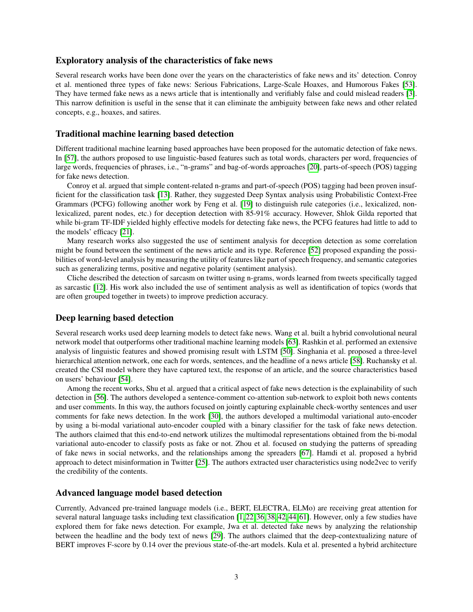### Exploratory analysis of the characteristics of fake news

Several research works have been done over the years on the characteristics of fake news and its' detection. Conroy et al. mentioned three types of fake news: Serious Fabrications, Large-Scale Hoaxes, and Humorous Fakes [\[53\]](#page-20-6). They have termed fake news as a news article that is intentionally and verifiably false and could mislead readers [\[3\]](#page-17-3). This narrow definition is useful in the sense that it can eliminate the ambiguity between fake news and other related concepts, e.g., hoaxes, and satires.

### Traditional machine learning based detection

Different traditional machine learning based approaches have been proposed for the automatic detection of fake news. In [\[57\]](#page-20-7), the authors proposed to use linguistic-based features such as total words, characters per word, frequencies of large words, frequencies of phrases, i.e., "n-grams" and bag-of-words approaches [\[20\]](#page-18-7), parts-of-speech (POS) tagging for fake news detection.

Conroy et al. argued that simple content-related n-grams and part-of-speech (POS) tagging had been proven insufficient for the classification task [\[13\]](#page-18-8). Rather, they suggested Deep Syntax analysis using Probabilistic Context-Free Grammars (PCFG) following another work by Feng et al. [\[19\]](#page-18-9) to distinguish rule categories (i.e., lexicalized, nonlexicalized, parent nodes, etc.) for deception detection with 85-91% accuracy. However, Shlok Gilda reported that while bi-gram TF-IDF yielded highly effective models for detecting fake news, the PCFG features had little to add to the models' efficacy [\[21\]](#page-18-1).

Many research works also suggested the use of sentiment analysis for deception detection as some correlation might be found between the sentiment of the news article and its type. Reference [\[52\]](#page-20-0) proposed expanding the possibilities of word-level analysis by measuring the utility of features like part of speech frequency, and semantic categories such as generalizing terms, positive and negative polarity (sentiment analysis).

Cliche described the detection of sarcasm on twitter using n-grams, words learned from tweets specifically tagged as sarcastic [\[12\]](#page-18-10). His work also included the use of sentiment analysis as well as identification of topics (words that are often grouped together in tweets) to improve prediction accuracy.

### Deep learning based detection

Several research works used deep learning models to detect fake news. Wang et al. built a hybrid convolutional neural network model that outperforms other traditional machine learning models [\[63\]](#page-20-3). Rashkin et al. performed an extensive analysis of linguistic features and showed promising result with LSTM [\[50\]](#page-20-8). Singhania et al. proposed a three-level hierarchical attention network, one each for words, sentences, and the headline of a news article [\[58\]](#page-20-9). Ruchansky et al. created the CSI model where they have captured text, the response of an article, and the source characteristics based on users' behaviour [\[54\]](#page-20-10).

Among the recent works, Shu et al. argued that a critical aspect of fake news detection is the explainability of such detection in [\[56\]](#page-20-1). The authors developed a sentence-comment co-attention sub-network to exploit both news contents and user comments. In this way, the authors focused on jointly capturing explainable check-worthy sentences and user comments for fake news detection. In the work [\[30\]](#page-19-1), the authors developed a multimodal variational auto-encoder by using a bi-modal variational auto-encoder coupled with a binary classifier for the task of fake news detection. The authors claimed that this end-to-end network utilizes the multimodal representations obtained from the bi-modal variational auto-encoder to classify posts as fake or not. Zhou et al. focused on studying the patterns of spreading of fake news in social networks, and the relationships among the spreaders [\[67\]](#page-21-0). Hamdi et al. proposed a hybrid approach to detect misinformation in Twitter [\[25\]](#page-18-11). The authors extracted user characteristics using node2vec to verify the credibility of the contents.

### Advanced language model based detection

Currently, Advanced pre-trained language models (i.e., BERT, ELECTRA, ELMo) are receiving great attention for several natural language tasks including text classification [\[1,](#page-17-0) [22,](#page-18-3) [36,](#page-19-4) [38,](#page-19-5) [42,](#page-19-6) [44,](#page-19-7) [61\]](#page-20-4). However, only a few studies have explored them for fake news detection. For example, Jwa et al. detected fake news by analyzing the relationship between the headline and the body text of news [\[29\]](#page-19-2). The authors claimed that the deep-contextualizing nature of BERT improves F-score by 0.14 over the previous state-of-the-art models. Kula et al. presented a hybrid architecture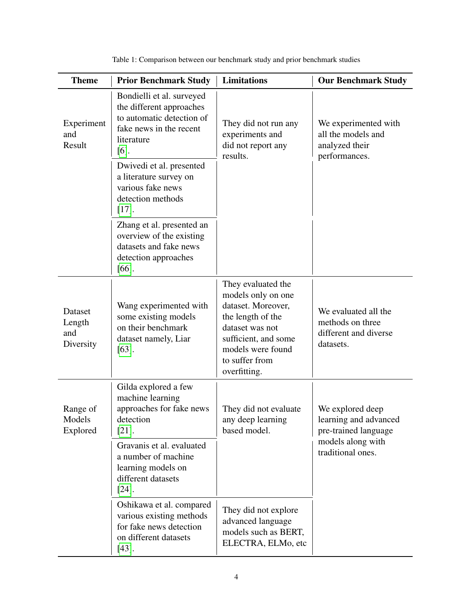<span id="page-3-0"></span>

| <b>Theme</b>                          | <b>Prior Benchmark Study</b>                                                                                                           | <b>Limitations</b>                                                                                                                                                                    | <b>Our Benchmark Study</b>                                                     |
|---------------------------------------|----------------------------------------------------------------------------------------------------------------------------------------|---------------------------------------------------------------------------------------------------------------------------------------------------------------------------------------|--------------------------------------------------------------------------------|
| Experiment<br>and<br>Result           | Bondielli et al. surveyed<br>the different approaches<br>to automatic detection of<br>fake news in the recent<br>literature<br>$[6]$ . | They did not run any<br>experiments and<br>did not report any<br>results.                                                                                                             | We experimented with<br>all the models and<br>analyzed their<br>performances.  |
|                                       | Dwivedi et al. presented<br>a literature survey on<br>various fake news<br>detection methods<br>$[17]$ .                               |                                                                                                                                                                                       |                                                                                |
|                                       | Zhang et al. presented an<br>overview of the existing<br>datasets and fake news<br>detection approaches<br>$[66]$ .                    |                                                                                                                                                                                       |                                                                                |
| Dataset<br>Length<br>and<br>Diversity | Wang experimented with<br>some existing models<br>on their benchmark<br>dataset namely, Liar<br>$[63]$ .                               | They evaluated the<br>models only on one<br>dataset. Moreover,<br>the length of the<br>dataset was not<br>sufficient, and some<br>models were found<br>to suffer from<br>overfitting. | We evaluated all the<br>methods on three<br>different and diverse<br>datasets. |
| Range of<br>Models<br>Explored        | Gilda explored a few<br>machine learning<br>approaches for fake news<br>detection<br>$[21]$ .                                          | They did not evaluate<br>any deep learning<br>based model.                                                                                                                            | We explored deep<br>learning and advanced<br>pre-trained language              |
|                                       | Gravanis et al. evaluated<br>a number of machine<br>learning models on<br>different datasets<br>$[24]$ .                               |                                                                                                                                                                                       | models along with<br>traditional ones.                                         |
|                                       | Oshikawa et al. compared<br>various existing methods<br>for fake news detection<br>on different datasets<br>$[43]$ .                   | They did not explore<br>advanced language<br>models such as BERT,<br>ELECTRA, ELMo, etc                                                                                               |                                                                                |

Table 1: Comparison between our benchmark study and prior benchmark studies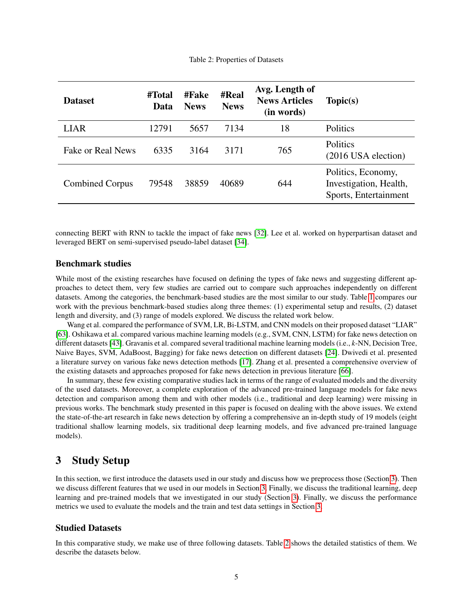<span id="page-4-2"></span>

| <b>Dataset</b>         | #Total<br>Data | #Fake<br><b>News</b> | <b>#Real</b><br><b>News</b> | Avg. Length of<br><b>News Articles</b><br>(in words) | Topic(s)                                                              |
|------------------------|----------------|----------------------|-----------------------------|------------------------------------------------------|-----------------------------------------------------------------------|
| <b>LIAR</b>            | 12791          | 5657                 | 7134                        | 18                                                   | Politics                                                              |
| Fake or Real News      | 6335           | 3164                 | 3171                        | 765                                                  | Politics<br>(2016 USA election)                                       |
| <b>Combined Corpus</b> | 79548          | 38859                | 40689                       | 644                                                  | Politics, Economy,<br>Investigation, Health,<br>Sports, Entertainment |

connecting BERT with RNN to tackle the impact of fake news [\[32\]](#page-19-3). Lee et al. worked on hyperpartisan dataset and leveraged BERT on semi-supervised pseudo-label dataset [\[34\]](#page-19-12).

### Benchmark studies

While most of the existing researches have focused on defining the types of fake news and suggesting different approaches to detect them, very few studies are carried out to compare such approaches independently on different datasets. Among the categories, the benchmark-based studies are the most similar to our study. Table [1](#page-3-0) compares our work with the previous benchmark-based studies along three themes: (1) experimental setup and results, (2) dataset length and diversity, and (3) range of models explored. We discuss the related work below.

Wang et al. compared the performance of SVM, LR, Bi-LSTM, and CNN models on their proposed dataset "LIAR" [\[63\]](#page-20-3). Oshikawa et al. compared various machine learning models (e.g., SVM, CNN, LSTM) for fake news detection on different datasets [\[43\]](#page-19-11). Gravanis et al. compared several traditional machine learning models (i.e., *k*-NN, Decision Tree, Naive Bayes, SVM, AdaBoost, Bagging) for fake news detection on different datasets [\[24\]](#page-18-2). Dwivedi et al. presented a literature survey on various fake news detection methods [\[17\]](#page-18-12). Zhang et al. presented a comprehensive overview of the existing datasets and approaches proposed for fake news detection in previous literature [\[66\]](#page-21-1).

In summary, these few existing comparative studies lack in terms of the range of evaluated models and the diversity of the used datasets. Moreover, a complete exploration of the advanced pre-trained language models for fake news detection and comparison among them and with other models (i.e., traditional and deep learning) were missing in previous works. The benchmark study presented in this paper is focused on dealing with the above issues. We extend the state-of-the-art research in fake news detection by offering a comprehensive an in-depth study of 19 models (eight traditional shallow learning models, six traditional deep learning models, and five advanced pre-trained language models).

# <span id="page-4-0"></span>3 Study Setup

In this section, we first introduce the datasets used in our study and discuss how we preprocess those (Section [3\)](#page-4-1). Then we discuss different features that we used in our models in Section [3.](#page-6-0) Finally, we discuss the traditional learning, deep learning and pre-trained models that we investigated in our study (Section [3\)](#page-7-0). Finally, we discuss the performance metrics we used to evaluate the models and the train and test data settings in Section [3.](#page-8-0)

### <span id="page-4-1"></span>Studied Datasets

In this comparative study, we make use of three following datasets. Table [2](#page-4-2) shows the detailed statistics of them. We describe the datasets below.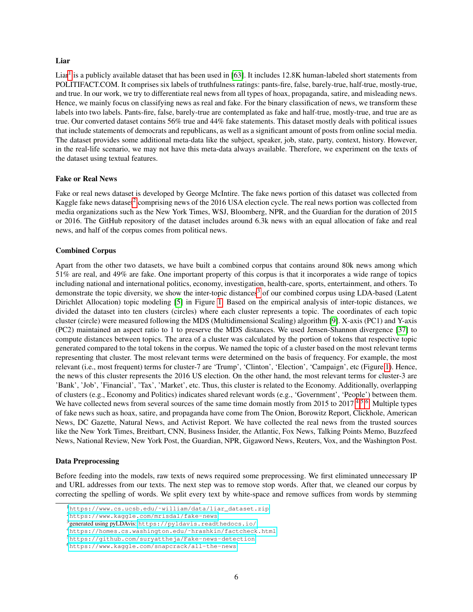#### Liar

Liar<sup>[1](#page-5-0)</sup> is a publicly available dataset that has been used in [\[63\]](#page-20-3). It includes 12.8K human-labeled short statements from POLITIFACT.COM. It comprises six labels of truthfulness ratings: pants-fire, false, barely-true, half-true, mostly-true, and true. In our work, we try to differentiate real news from all types of hoax, propaganda, satire, and misleading news. Hence, we mainly focus on classifying news as real and fake. For the binary classification of news, we transform these labels into two labels. Pants-fire, false, barely-true are contemplated as fake and half-true, mostly-true, and true are as true. Our converted dataset contains 56% true and 44% fake statements. This dataset mostly deals with political issues that include statements of democrats and republicans, as well as a significant amount of posts from online social media. The dataset provides some additional meta-data like the subject, speaker, job, state, party, context, history. However, in the real-life scenario, we may not have this meta-data always available. Therefore, we experiment on the texts of the dataset using textual features.

#### Fake or Real News

Fake or real news dataset is developed by George McIntire. The fake news portion of this dataset was collected from Kaggle fake news dataset<sup>[2](#page-5-1)</sup> comprising news of the 2016 USA election cycle. The real news portion was collected from media organizations such as the New York Times, WSJ, Bloomberg, NPR, and the Guardian for the duration of 2015 or 2016. The GitHub repository of the dataset includes around 6.3k news with an equal allocation of fake and real news, and half of the corpus comes from political news.

#### Combined Corpus

Apart from the other two datasets, we have built a combined corpus that contains around 80k news among which 51% are real, and 49% are fake. One important property of this corpus is that it incorporates a wide range of topics including national and international politics, economy, investigation, health-care, sports, entertainment, and others. To demonstrate the topic diversity, we show the inter-topic distances<sup>[3](#page-5-2)</sup> of our combined corpus using LDA-based (Latent Dirichlet Allocation) topic modeling [\[5\]](#page-17-5) in Figure [1.](#page-6-1) Based on the empirical analysis of inter-topic distances, we divided the dataset into ten clusters (circles) where each cluster represents a topic. The coordinates of each topic cluster (circle) were measured following the MDS (Multidimensional Scaling) algorithm [\[9\]](#page-18-13). X-axis (PC1) and Y-axis (PC2) maintained an aspect ratio to 1 to preserve the MDS distances. We used Jensen-Shannon divergence [\[37\]](#page-19-13) to compute distances between topics. The area of a cluster was calculated by the portion of tokens that respective topic generated compared to the total tokens in the corpus. We named the topic of a cluster based on the most relevant terms representing that cluster. The most relevant terms were determined on the basis of frequency. For example, the most relevant (i.e., most frequent) terms for cluster-7 are 'Trump', 'Clinton', 'Election', 'Campaign', etc (Figure [1\)](#page-6-1). Hence, the news of this cluster represents the 2016 US election. On the other hand, the most relevant terms for cluster-3 are 'Bank', 'Job', 'Financial', 'Tax', 'Market', etc. Thus, this cluster is related to the Economy. Additionally, overlapping of clusters (e.g., Economy and Politics) indicates shared relevant words (e.g., 'Government', 'People') between them. We have collected news from several sources of the same time domain mostly from 2015 to 2017<sup>[4,](#page-5-3)[5,](#page-5-4)[6](#page-5-5)</sup>. Multiple types of fake news such as hoax, satire, and propaganda have come from The Onion, Borowitz Report, Clickhole, American News, DC Gazette, Natural News, and Activist Report. We have collected the real news from the trusted sources like the New York Times, Breitbart, CNN, Business Insider, the Atlantic, Fox News, Talking Points Memo, Buzzfeed News, National Review, New York Post, the Guardian, NPR, Gigaword News, Reuters, Vox, and the Washington Post.

#### Data Preprocessing

Before feeding into the models, raw texts of news required some preprocessing. We first eliminated unnecessary IP and URL addresses from our texts. The next step was to remove stop words. After that, we cleaned our corpus by correcting the spelling of words. We split every text by white-space and remove suffices from words by stemming

<span id="page-5-1"></span><sup>2</sup><https://www.kaggle.com/mrisdal/fake-news>

<span id="page-5-0"></span><sup>1</sup>[https://www.cs.ucsb.edu/˜william/data/liar\\_dataset.zip](https://www.cs.ucsb.edu/~william/data/liar_dataset.zip)

<span id="page-5-2"></span><sup>&</sup>lt;sup>3</sup>generated using pyLDAvis: <https://pyldavis.readthedocs.io/>

<span id="page-5-3"></span><sup>4</sup>[https://homes.cs.washington.edu/˜hrashkin/factcheck.html](https://homes.cs.washington.edu/~hrashkin/factcheck.html)

<span id="page-5-4"></span><sup>5</sup><https://github.com/suryattheja/Fake-news-detection>

<span id="page-5-5"></span><sup>6</sup><https://www.kaggle.com/snapcrack/all-the-news>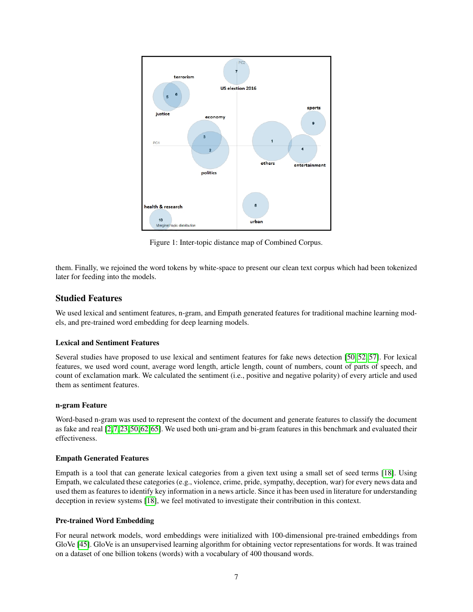<span id="page-6-1"></span>

Figure 1: Inter-topic distance map of Combined Corpus.

them. Finally, we rejoined the word tokens by white-space to present our clean text corpus which had been tokenized later for feeding into the models.

## <span id="page-6-0"></span>Studied Features

We used lexical and sentiment features, n-gram, and Empath generated features for traditional machine learning models, and pre-trained word embedding for deep learning models.

#### Lexical and Sentiment Features

Several studies have proposed to use lexical and sentiment features for fake news detection [\[50,](#page-20-8) [52,](#page-20-0) [57\]](#page-20-7). For lexical features, we used word count, average word length, article length, count of numbers, count of parts of speech, and count of exclamation mark. We calculated the sentiment (i.e., positive and negative polarity) of every article and used them as sentiment features.

#### n-gram Feature

Word-based n-gram was used to represent the context of the document and generate features to classify the document as fake and real [\[2,](#page-17-6)[7,](#page-17-7)[23,](#page-18-14)[50,](#page-20-8)[62,](#page-20-11)[65\]](#page-20-12). We used both uni-gram and bi-gram features in this benchmark and evaluated their effectiveness.

#### Empath Generated Features

Empath is a tool that can generate lexical categories from a given text using a small set of seed terms [\[18\]](#page-18-15). Using Empath, we calculated these categories (e.g., violence, crime, pride, sympathy, deception, war) for every news data and used them as features to identify key information in a news article. Since it has been used in literature for understanding deception in review systems [\[18\]](#page-18-15), we feel motivated to investigate their contribution in this context.

#### Pre-trained Word Embedding

For neural network models, word embeddings were initialized with 100-dimensional pre-trained embeddings from GloVe [\[45\]](#page-19-14). GloVe is an unsupervised learning algorithm for obtaining vector representations for words. It was trained on a dataset of one billion tokens (words) with a vocabulary of 400 thousand words.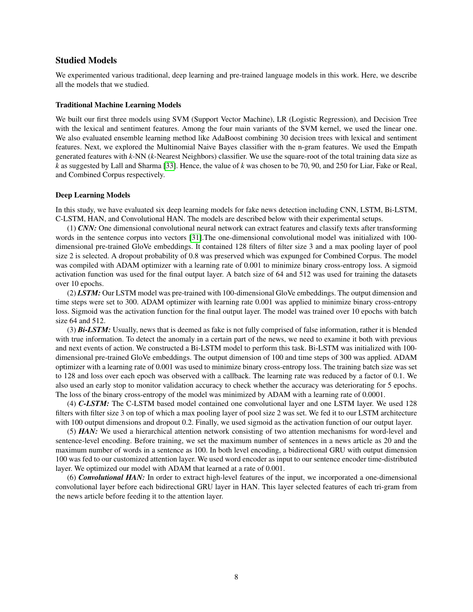### <span id="page-7-0"></span>Studied Models

We experimented various traditional, deep learning and pre-trained language models in this work. Here, we describe all the models that we studied.

#### Traditional Machine Learning Models

We built our first three models using SVM (Support Vector Machine), LR (Logistic Regression), and Decision Tree with the lexical and sentiment features. Among the four main variants of the SVM kernel, we used the linear one. We also evaluated ensemble learning method like AdaBoost combining 30 decision trees with lexical and sentiment features. Next, we explored the Multinomial Naive Bayes classifier with the n-gram features. We used the Empath generated features with *k*-NN (*k*-Nearest Neighbors) classifier. We use the square-root of the total training data size as *k* as suggested by Lall and Sharma [\[33\]](#page-19-15). Hence, the value of *k* was chosen to be 70, 90, and 250 for Liar, Fake or Real, and Combined Corpus respectively.

#### Deep Learning Models

In this study, we have evaluated six deep learning models for fake news detection including CNN, LSTM, Bi-LSTM, C-LSTM, HAN, and Convolutional HAN. The models are described below with their experimental setups.

(1) *CNN:* One dimensional convolutional neural network can extract features and classify texts after transforming words in the sentence corpus into vectors [\[31\]](#page-19-16).The one-dimensional convolutional model was initialized with 100 dimensional pre-trained GloVe embeddings. It contained 128 filters of filter size 3 and a max pooling layer of pool size 2 is selected. A dropout probability of 0.8 was preserved which was expunged for Combined Corpus. The model was compiled with ADAM optimizer with a learning rate of 0.001 to minimize binary cross-entropy loss. A sigmoid activation function was used for the final output layer. A batch size of 64 and 512 was used for training the datasets over 10 epochs.

(2) *LSTM:* Our LSTM model was pre-trained with 100-dimensional GloVe embeddings. The output dimension and time steps were set to 300. ADAM optimizer with learning rate 0.001 was applied to minimize binary cross-entropy loss. Sigmoid was the activation function for the final output layer. The model was trained over 10 epochs with batch size 64 and 512.

(3) *Bi-LSTM:* Usually, news that is deemed as fake is not fully comprised of false information, rather it is blended with true information. To detect the anomaly in a certain part of the news, we need to examine it both with previous and next events of action. We constructed a Bi-LSTM model to perform this task. Bi-LSTM was initialized with 100 dimensional pre-trained GloVe embeddings. The output dimension of 100 and time steps of 300 was applied. ADAM optimizer with a learning rate of 0.001 was used to minimize binary cross-entropy loss. The training batch size was set to 128 and loss over each epoch was observed with a callback. The learning rate was reduced by a factor of 0.1. We also used an early stop to monitor validation accuracy to check whether the accuracy was deteriorating for 5 epochs. The loss of the binary cross-entropy of the model was minimized by ADAM with a learning rate of 0.0001.

(4) *C-LSTM:* The C-LSTM based model contained one convolutional layer and one LSTM layer. We used 128 filters with filter size 3 on top of which a max pooling layer of pool size 2 was set. We fed it to our LSTM architecture with 100 output dimensions and dropout 0.2. Finally, we used sigmoid as the activation function of our output layer.

(5) *HAN:* We used a hierarchical attention network consisting of two attention mechanisms for word-level and sentence-level encoding. Before training, we set the maximum number of sentences in a news article as 20 and the maximum number of words in a sentence as 100. In both level encoding, a bidirectional GRU with output dimension 100 was fed to our customized attention layer. We used word encoder as input to our sentence encoder time-distributed layer. We optimized our model with ADAM that learned at a rate of 0.001.

(6) *Convolutional HAN:* In order to extract high-level features of the input, we incorporated a one-dimensional convolutional layer before each bidirectional GRU layer in HAN. This layer selected features of each tri-gram from the news article before feeding it to the attention layer.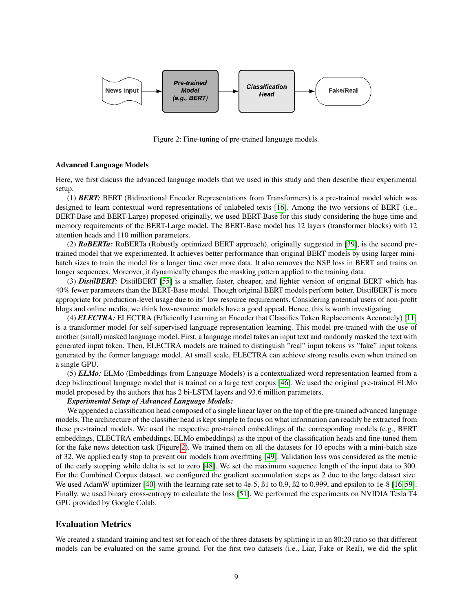<span id="page-8-1"></span>

Figure 2: Fine-tuning of pre-trained language models.

#### Advanced Language Models

Here, we first discuss the advanced language models that we used in this study and then describe their experimental setup.

(1) *BERT:* BERT (Bidirectional Encoder Representations from Transformers) is a pre-trained model which was designed to learn contextual word representations of unlabeled texts [\[16\]](#page-18-4). Among the two versions of BERT (i.e., BERT-Base and BERT-Large) proposed originally, we used BERT-Base for this study considering the huge time and memory requirements of the BERT-Large model. The BERT-Base model has 12 layers (transformer blocks) with 12 attention heads and 110 million parameters.

(2) *RoBERTa:* RoBERTa (Robustly optimized BERT approach), originally suggested in [\[39\]](#page-19-8), is the second pretrained model that we experimented. It achieves better performance than original BERT models by using larger minibatch sizes to train the model for a longer time over more data. It also removes the NSP loss in BERT and trains on longer sequences. Moreover, it dynamically changes the masking pattern applied to the training data.

(3) *DistilBERT:* DistilBERT [\[55\]](#page-20-5) is a smaller, faster, cheaper, and lighter version of original BERT which has 40% fewer parameters than the BERT-Base model. Though original BERT models perform better, DistilBERT is more appropriate for production-level usage due to its' low resource requirements. Considering potential users of non-profit blogs and online media, we think low-resource models have a good appeal. Hence, this is worth investigating.

(4) *ELECTRA:* ELECTRA (Efficiently Learning an Encoder that Classifies Token Replacements Accurately) [\[11\]](#page-18-5) is a transformer model for self-supervised language representation learning. This model pre-trained with the use of another (small) masked language model. First, a language model takes an input text and randomly masked the text with generated input token. Then, ELECTRA models are trained to distinguish "real" input tokens vs "fake" input tokens generated by the former language model. At small scale, ELECTRA can achieve strong results even when trained on a single GPU.

(5) *ELMo:* ELMo (Embeddings from Language Models) is a contextualized word representation learned from a deep bidirectional language model that is trained on a large text corpus [\[46\]](#page-19-9). We used the original pre-trained ELMo model proposed by the authors that has 2 bi-LSTM layers and 93.6 million parameters.

#### *Experimental Setup of Advanced Language Models:*

We appended a classification head composed of a single linear layer on the top of the pre-trained advanced language models. The architecture of the classifier head is kept simple to focus on what information can readily be extracted from these pre-trained models. We used the respective pre-trained embeddings of the corresponding models (e.g., BERT embeddings, ELECTRA embeddings, ELMo embeddings) as the input of the classification heads and fine-tuned them for the fake news detection task (Figure [2\)](#page-8-1). We trained them on all the datasets for 10 epochs with a mini-batch size of 32. We applied early stop to prevent our models from overfitting [\[49\]](#page-20-13). Validation loss was considered as the metric of the early stopping while delta is set to zero [\[48\]](#page-20-14). We set the maximum sequence length of the input data to 300. For the Combined Corpus dataset, we configured the gradient accumulation steps as 2 due to the large dataset size. We used AdamW optimizer [\[40\]](#page-19-17) with the learning rate set to 4e-5,  $\beta$ 1 to 0.9,  $\beta$ 2 to 0.999, and epsilon to 1e-8 [\[16,](#page-18-4) [59\]](#page-20-15). Finally, we used binary cross-entropy to calculate the loss [\[51\]](#page-20-16). We performed the experiments on NVIDIA Tesla T4 GPU provided by Google Colab.

#### <span id="page-8-0"></span>Evaluation Metrics

We created a standard training and test set for each of the three datasets by splitting it in an 80:20 ratio so that different models can be evaluated on the same ground. For the first two datasets (i.e., Liar, Fake or Real), we did the split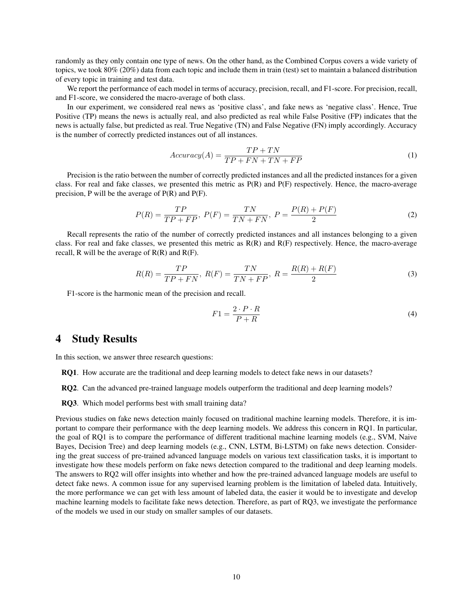randomly as they only contain one type of news. On the other hand, as the Combined Corpus covers a wide variety of topics, we took 80% (20%) data from each topic and include them in train (test) set to maintain a balanced distribution of every topic in training and test data.

We report the performance of each model in terms of accuracy, precision, recall, and F1-score. For precision, recall, and F1-score, we considered the macro-average of both class.

In our experiment, we considered real news as 'positive class', and fake news as 'negative class'. Hence, True Positive (TP) means the news is actually real, and also predicted as real while False Positive (FP) indicates that the news is actually false, but predicted as real. True Negative (TN) and False Negative (FN) imply accordingly. Accuracy is the number of correctly predicted instances out of all instances.

$$
Accuracy(A) = \frac{TP + TN}{TP + FN + TN + FP}
$$
\n<sup>(1)</sup>

Precision is the ratio between the number of correctly predicted instances and all the predicted instances for a given class. For real and fake classes, we presented this metric as  $P(R)$  and  $P(F)$  respectively. Hence, the macro-average precision, P will be the average of P(R) and P(F).

$$
P(R) = \frac{TP}{TP + FP}, \ P(F) = \frac{TN}{TN + FN}, \ P = \frac{P(R) + P(F)}{2}
$$
 (2)

Recall represents the ratio of the number of correctly predicted instances and all instances belonging to a given class. For real and fake classes, we presented this metric as  $R(R)$  and  $R(F)$  respectively. Hence, the macro-average recall, R will be the average of  $R(R)$  and  $R(F)$ .

$$
R(R) = \frac{TP}{TP + FN}, \ R(F) = \frac{TN}{TN + FP}, \ R = \frac{R(R) + R(F)}{2}
$$
 (3)

F1-score is the harmonic mean of the precision and recall.

$$
F1 = \frac{2 \cdot P \cdot R}{P + R} \tag{4}
$$

# <span id="page-9-0"></span>4 Study Results

In this section, we answer three research questions:

- RQ1. How accurate are the traditional and deep learning models to detect fake news in our datasets?
- RQ2. Can the advanced pre-trained language models outperform the traditional and deep learning models?
- RQ3. Which model performs best with small training data?

Previous studies on fake news detection mainly focused on traditional machine learning models. Therefore, it is important to compare their performance with the deep learning models. We address this concern in RQ1. In particular, the goal of RQ1 is to compare the performance of different traditional machine learning models (e.g., SVM, Naive Bayes, Decision Tree) and deep learning models (e.g., CNN, LSTM, Bi-LSTM) on fake news detection. Considering the great success of pre-trained advanced language models on various text classification tasks, it is important to investigate how these models perform on fake news detection compared to the traditional and deep learning models. The answers to RQ2 will offer insights into whether and how the pre-trained advanced language models are useful to detect fake news. A common issue for any supervised learning problem is the limitation of labeled data. Intuitively, the more performance we can get with less amount of labeled data, the easier it would be to investigate and develop machine learning models to facilitate fake news detection. Therefore, as part of RQ3, we investigate the performance of the models we used in our study on smaller samples of our datasets.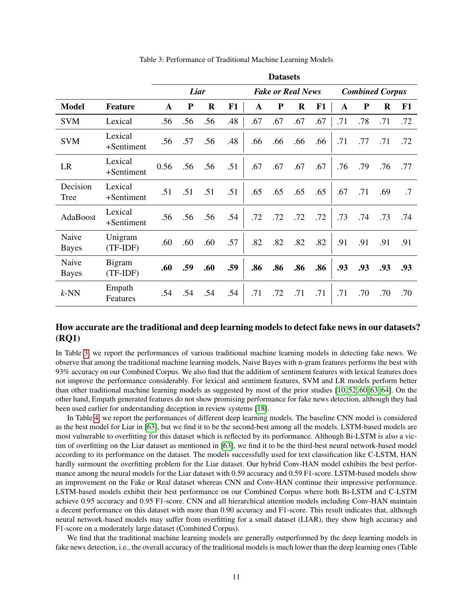<span id="page-10-0"></span>

|                       |                       |             |      |             |     |              | <b>Datasets</b>          |         |     |     |                        |     |     |
|-----------------------|-----------------------|-------------|------|-------------|-----|--------------|--------------------------|---------|-----|-----|------------------------|-----|-----|
|                       |                       |             | Liar |             |     |              | <b>Fake or Real News</b> |         |     |     | <b>Combined Corpus</b> |     |     |
| <b>Model</b>          | <b>Feature</b>        | $\mathbf A$ | P    | $\mathbf R$ | F1  | $\mathbf{A}$ | P                        | $\bf R$ | F1  | A   | P                      | R   | F1  |
| <b>SVM</b>            | Lexical               | .56         | .56  | .56         | .48 | .67          | .67                      | .67     | .67 | .71 | .78                    | .71 | .72 |
| <b>SVM</b>            | Lexical<br>+Sentiment | .56         | .57  | .56         | .48 | .66          | .66                      | .66     | .66 | .71 | .77                    | .71 | .72 |
| LR                    | Lexical<br>+Sentiment | 0.56        | .56  | .56         | .51 | .67          | .67                      | .67     | .67 | .76 | .79                    | .76 | .77 |
| Decision<br>Tree      | Lexical<br>+Sentiment | .51         | .51  | .51         | .51 | .65          | .65                      | .65     | .65 | .67 | .71                    | .69 | .7  |
| AdaBoost              | Lexical<br>+Sentiment | .56         | .56  | .56         | .54 | .72          | .72                      | .72     | .72 | .73 | .74                    | .73 | .74 |
| Naive<br><b>Bayes</b> | Unigram<br>$(TF-IDF)$ | .60         | .60  | .60         | .57 | .82          | .82                      | .82     | .82 | .91 | .91                    | .91 | .91 |
| Naive<br><b>Bayes</b> | Bigram<br>$(TF-IDF)$  | .60         | .59  | .60         | .59 | .86          | .86                      | .86     | .86 | .93 | .93                    | .93 | .93 |
| $k$ -NN               | Empath<br>Features    | .54         | .54  | .54         | .54 | .71          | .72                      | .71     | .71 | .71 | .70                    | .70 | .70 |

Table 3: Performance of Traditional Machine Learning Models

# How accurate are the traditional and deep learning models to detect fake news in our datasets? (RQ1)

In Table [3,](#page-10-0) we report the performances of various traditional machine learning models in detecting fake news. We observe that among the traditional machine learning models, Naive Bayes with n-gram features performs the best with 93% accuracy on our Combined Corpus. We also find that the addition of sentiment features with lexical features does not improve the performance considerably. For lexical and sentiment features, SVM and LR models perform better than other traditional machine learning models as suggested by most of the prior studies [\[10,](#page-18-16) [52,](#page-20-0) [60,](#page-20-2) [63,](#page-20-3) [64\]](#page-20-17). On the other hand, Empath generated features do not show promising performance for fake news detection, although they had been used earlier for understanding deception in review systems [\[18\]](#page-18-15).

In Table [4,](#page-11-0) we report the performances of different deep learning models. The baseline CNN model is considered as the best model for Liar in [\[63\]](#page-20-3), but we find it to be the second-best among all the models. LSTM-based models are most vulnerable to overfitting for this dataset which is reflected by its performance. Although Bi-LSTM is also a victim of overfitting on the Liar dataset as mentioned in [\[63\]](#page-20-3), we find it to be the third-best neural network-based model according to its performance on the dataset. The models successfully used for text classification like C-LSTM, HAN hardly surmount the overfitting problem for the Liar dataset. Our hybrid Conv-HAN model exhibits the best performance among the neural models for the Liar dataset with 0.59 accuracy and 0.59 F1-score. LSTM-based models show an improvement on the Fake or Real dataset whereas CNN and Conv-HAN continue their impressive performance. LSTM-based models exhibit their best performance on our Combined Corpus where both Bi-LSTM and C-LSTM achieve 0.95 accuracy and 0.95 F1-score. CNN and all hierarchical attention models including Conv-HAN maintain a decent performance on this dataset with more than 0.90 accuracy and F1-score. This result indicates that, although neural network-based models may suffer from overfitting for a small dataset (LIAR), they show high accuracy and F1-score on a moderately large dataset (Combined Corpus).

We find that the traditional machine learning models are generally outperformed by the deep learning models in fake news detection, i.e., the overall accuracy of the traditional models is much lower than the deep learning ones (Table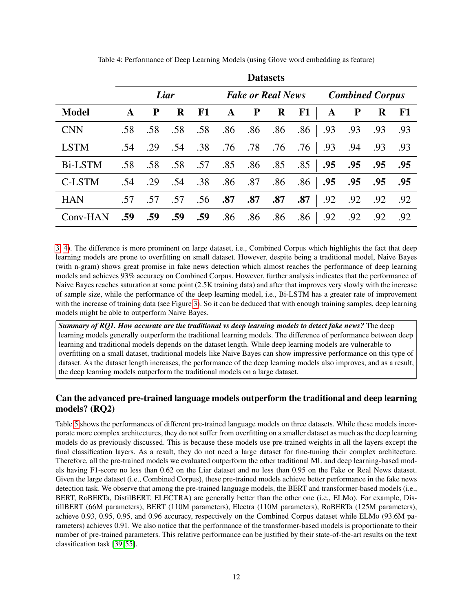<span id="page-11-0"></span>

|                |     |     |         |                  |     | <i>b</i> u vubv vb |                          |     |     |                        |     |            |
|----------------|-----|-----|---------|------------------|-----|--------------------|--------------------------|-----|-----|------------------------|-----|------------|
|                |     |     | Liar    |                  |     |                    | <b>Fake or Real News</b> |     |     | <b>Combined Corpus</b> |     |            |
| <b>Model</b>   | A   | P   | $\bf R$ | F1               | A   | ${\bf P}$          | $\bf R$                  | F1  | A   | $\mathbf{P}$           | R   | ${\bf F1}$ |
| <b>CNN</b>     | .58 | .58 | .58     | .58              | .86 | .86                | .86                      | .86 | .93 | .93                    | .93 | .93        |
| <b>LSTM</b>    | .54 | .29 | .54     | .38              | .76 | .78                | .76                      | .76 | .93 | .94                    | .93 | .93        |
| <b>Bi-LSTM</b> | .58 | .58 | .58     | .57 .85 .86 .85  |     |                    |                          | .85 | .95 | .95                    | .95 | .95        |
| C-LSTM         | .54 | .29 | .54     | .38              | .86 | .87                | .86                      | .86 | .95 | .95                    | .95 | .95        |
| <b>HAN</b>     | .57 | .57 | .57     | .56 <sup>1</sup> | .87 | .87                | .87                      | .87 | .92 | .92                    | .92 | .92        |
| Conv-HAN       | .59 | .59 | .59     | .59              | .86 | .86                | .86                      | .86 | .92 | .92                    | .92 | .92        |

Table 4: Performance of Deep Learning Models (using Glove word embedding as feature)

**Datasets** 

[3,](#page-10-0) [4\)](#page-11-0). The difference is more prominent on large dataset, i.e., Combined Corpus which highlights the fact that deep learning models are prone to overfitting on small dataset. However, despite being a traditional model, Naive Bayes (with n-gram) shows great promise in fake news detection which almost reaches the performance of deep learning models and achieves 93% accuracy on Combined Corpus. However, further analysis indicates that the performance of Naive Bayes reaches saturation at some point (2.5K training data) and after that improves very slowly with the increase of sample size, while the performance of the deep learning model, i.e., Bi-LSTM has a greater rate of improvement with the increase of training data (see Figure [3\)](#page-12-0). So it can be deduced that with enough training samples, deep learning models might be able to outperform Naive Bayes.

*Summary of RQ1. How accurate are the traditional vs deep learning models to detect fake news?* The deep learning models generally outperform the traditional learning models. The difference of performance between deep learning and traditional models depends on the dataset length. While deep learning models are vulnerable to overfitting on a small dataset, traditional models like Naive Bayes can show impressive performance on this type of dataset. As the dataset length increases, the performance of the deep learning models also improves, and as a result, the deep learning models outperform the traditional models on a large dataset.

# Can the advanced pre-trained language models outperform the traditional and deep learning models? (RQ2)

Table [5](#page-12-1) shows the performances of different pre-trained language models on three datasets. While these models incorporate more complex architectures, they do not suffer from overfitting on a smaller dataset as much as the deep learning models do as previously discussed. This is because these models use pre-trained weights in all the layers except the final classification layers. As a result, they do not need a large dataset for fine-tuning their complex architecture. Therefore, all the pre-trained models we evaluated outperform the other traditional ML and deep learning-based models having F1-score no less than 0.62 on the Liar dataset and no less than 0.95 on the Fake or Real News dataset. Given the large dataset (i.e., Combined Corpus), these pre-trained models achieve better performance in the fake news detection task. We observe that among the pre-trained language models, the BERT and transformer-based models (i.e., BERT, RoBERTa, DistilBERT, ELECTRA) are generally better than the other one (i.e., ELMo). For example, DistillBERT (66M parameters), BERT (110M parameters), Electra (110M parameters), RoBERTa (125M parameters), achieve 0.93, 0.95, 0.95, and 0.96 accuracy, respectively on the Combined Corpus dataset while ELMo (93.6M parameters) achieves 0.91. We also notice that the performance of the transformer-based models is proportionate to their number of pre-trained parameters. This relative performance can be justified by their state-of-the-art results on the text classification task [\[39,](#page-19-8) [55\]](#page-20-5).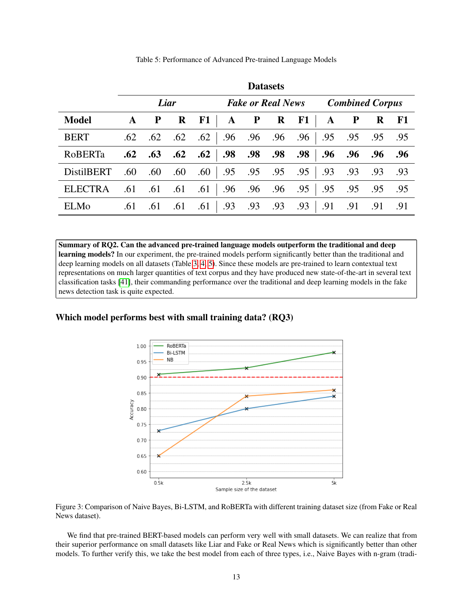<span id="page-12-1"></span>

|                   |              | <b>Datasets</b> |             |     |                           |         |             |                                     |                   |                                                    |             |           |
|-------------------|--------------|-----------------|-------------|-----|---------------------------|---------|-------------|-------------------------------------|-------------------|----------------------------------------------------|-------------|-----------|
|                   |              |                 | Liar        |     |                           |         |             | <b>Fake or Real News</b>            |                   | <b>Combined Corpus</b>                             |             |           |
| <b>Model</b>      | $\mathbf{A}$ | $\mathbf{P}$    | R           | F1  |                           | $A$ $P$ | $\mathbf R$ | F1                                  | $\mathbf{A}$      | $\mathbf{P}$                                       | $\mathbf R$ | <b>F1</b> |
| <b>BERT</b>       | .62          | .62             | .62         |     | $.62$   $.96$ $.96$ $.96$ |         |             | .96                                 |                   | $\begin{array}{cccc} 0.95 & .95 & .95 \end{array}$ |             | .95       |
| RoBERTa           | .62          |                 | $.63$ $.62$ |     |                           |         |             | $.62$ $.98$ $.98$ $.98$ $.98$ $.98$ |                   | $.96$ .96 .96                                      |             | .96       |
| <b>DistilBERT</b> | .60          | .60             | .60         |     |                           |         |             | $.60$   $.95$ $.95$ $.95$ $.95$     | $\vert .93 \vert$ | .93 .93                                            |             | .93       |
| <b>ELECTRA</b>    | .61          | .61             | .61         |     |                           |         |             | $.61$   $.96$ $.96$ $.96$ $.95$     | $\vert .95 \vert$ | .95 .95                                            |             | .95       |
| <b>ELMo</b>       | .61          | .61             | .61         | .61 | .93                       | .93     | .93         | .93                                 | .91               | .91                                                | .91         | .91       |

Table 5: Performance of Advanced Pre-trained Language Models

Summary of RQ2. Can the advanced pre-trained language models outperform the traditional and deep learning models? In our experiment, the pre-trained models perform significantly better than the traditional and deep learning models on all datasets (Table [3,](#page-10-0) [4,](#page-11-0) [5\)](#page-12-1). Since these models are pre-trained to learn contextual text representations on much larger quantities of text corpus and they have produced new state-of-the-art in several text classification tasks [\[41\]](#page-19-18), their commanding performance over the traditional and deep learning models in the fake news detection task is quite expected.

## <span id="page-12-0"></span>Which model performs best with small training data? (RQ3)



Figure 3: Comparison of Naive Bayes, Bi-LSTM, and RoBERTa with different training dataset size (from Fake or Real News dataset).

We find that pre-trained BERT-based models can perform very well with small datasets. We can realize that from their superior performance on small datasets like Liar and Fake or Real News which is significantly better than other models. To further verify this, we take the best model from each of three types, i.e., Naive Bayes with n-gram (tradi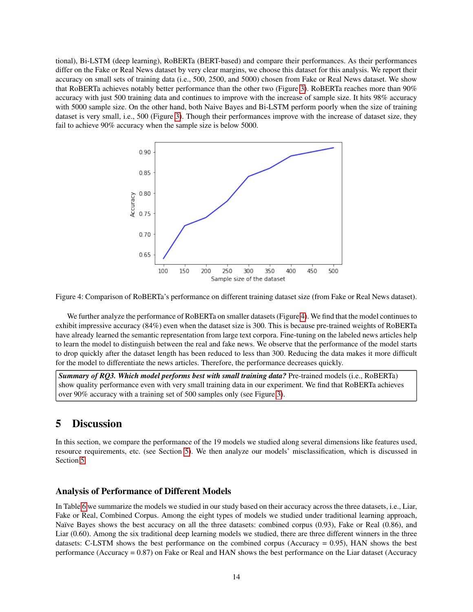tional), Bi-LSTM (deep learning), RoBERTa (BERT-based) and compare their performances. As their performances differ on the Fake or Real News dataset by very clear margins, we choose this dataset for this analysis. We report their accuracy on small sets of training data (i.e., 500, 2500, and 5000) chosen from Fake or Real News dataset. We show that RoBERTa achieves notably better performance than the other two (Figure [3\)](#page-12-0). RoBERTa reaches more than 90% accuracy with just 500 training data and continues to improve with the increase of sample size. It hits 98% accuracy with 5000 sample size. On the other hand, both Naive Bayes and Bi-LSTM perform poorly when the size of training dataset is very small, i.e., 500 (Figure [3\)](#page-12-0). Though their performances improve with the increase of dataset size, they fail to achieve 90% accuracy when the sample size is below 5000.

<span id="page-13-1"></span>

Figure 4: Comparison of RoBERTa's performance on different training dataset size (from Fake or Real News dataset).

We further analyze the performance of RoBERTa on smaller datasets (Figure [4\)](#page-13-1). We find that the model continues to exhibit impressive accuracy (84%) even when the dataset size is 300. This is because pre-trained weights of RoBERTa have already learned the semantic representation from large text corpora. Fine-tuning on the labeled news articles help to learn the model to distinguish between the real and fake news. We observe that the performance of the model starts to drop quickly after the dataset length has been reduced to less than 300. Reducing the data makes it more difficult for the model to differentiate the news articles. Therefore, the performance decreases quickly.

*Summary of RQ3. Which model performs best with small training data?* Pre-trained models (i.e., RoBERTa) show quality performance even with very small training data in our experiment. We find that RoBERTa achieves over 90% accuracy with a training set of 500 samples only (see Figure [3\)](#page-12-0).

# <span id="page-13-0"></span>5 Discussion

In this section, we compare the performance of the 19 models we studied along several dimensions like features used, resource requirements, etc. (see Section [5\)](#page-13-2). We then analyze our models' misclassification, which is discussed in Section [5.](#page-15-0)

### <span id="page-13-2"></span>Analysis of Performance of Different Models

In Table [6](#page-14-0) we summarize the models we studied in our study based on their accuracy across the three datasets, i.e., Liar, Fake or Real, Combined Corpus. Among the eight types of models we studied under traditional learning approach, Naïve Bayes shows the best accuracy on all the three datasets: combined corpus (0.93), Fake or Real (0.86), and Liar (0.60). Among the six traditional deep learning models we studied, there are three different winners in the three datasets: C-LSTM shows the best performance on the combined corpus (Accuracy = 0.95), HAN shows the best performance (Accuracy = 0.87) on Fake or Real and HAN shows the best performance on the Liar dataset (Accuracy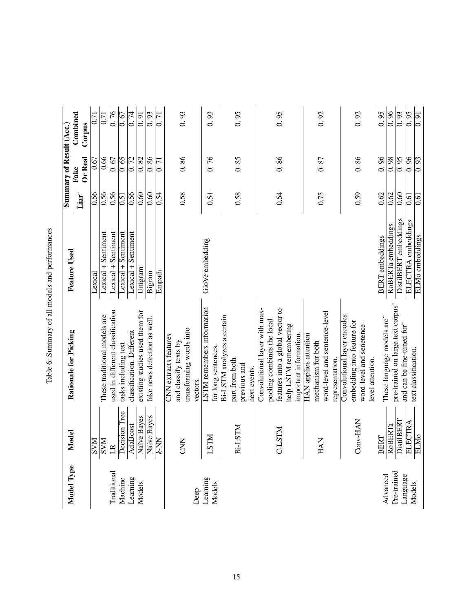<span id="page-14-0"></span>

|                    |                                                                                                                                                                                                                                |                                                  |                        |                   | Summary of Result (Acc.)        |                     |
|--------------------|--------------------------------------------------------------------------------------------------------------------------------------------------------------------------------------------------------------------------------|--------------------------------------------------|------------------------|-------------------|---------------------------------|---------------------|
| Model Type         | Model                                                                                                                                                                                                                          | Rationale for Picking                            | <b>Feature Used</b>    |                   | Fake                            | Combined            |
|                    |                                                                                                                                                                                                                                |                                                  |                        | Liar <sup>~</sup> | Or Real                         | Corpus              |
|                    |                                                                                                                                                                                                                                |                                                  | Lexical                | 0.56              | 0.67                            | 0.71                |
|                    |                                                                                                                                                                                                                                | These traditional models are                     | Lexical + Sentiment    | 0.56              | 0.66                            | 0.71                |
| <b>Traditional</b> |                                                                                                                                                                                                                                | used in different classification                 | Lexical + Sentiment    | 0.56              | 0.67                            | 0.76                |
| Machine            |                                                                                                                                                                                                                                | tasks including text                             | Lexical + Sentiment    | 0.51              | 0.65                            | 0.67                |
| Learning           | $\begin{tabular}{c c} \hline SVM \\ \hline \hline LR \\ \hline LR \\ \hline Decision Tree \\ \hline Decision Tree \\ \hline Adaboot \\ \hline Naive Bayes \\ \hline Naive Bayes \\ \hline Naive Bayes \\ \hline \end{tabular}$ | classification. Different                        | Lexical + Sentiment    | 0.56              | 0.72                            | 0.74                |
| Models             |                                                                                                                                                                                                                                | existing studies used them for                   | Unigram                | 0.60              | 0.82                            | $\overline{0.91}$   |
|                    |                                                                                                                                                                                                                                | fake news detection as well.                     | Bigram                 | 0.60              | 0.86                            | 0.93                |
|                    |                                                                                                                                                                                                                                |                                                  | Empath                 | 0.54              | $\overline{7}$<br>$\dot{\circ}$ | $\overline{5}$<br>S |
|                    |                                                                                                                                                                                                                                | CNN extracts features<br>and classify texts by   |                        |                   |                                 |                     |
|                    | <b>EXKO</b>                                                                                                                                                                                                                    | transforming words into                          |                        | 0.58              | 0.86                            | 0.93                |
| Deep               |                                                                                                                                                                                                                                | vectors.                                         |                        |                   |                                 |                     |
| Learning           | <b>NIST</b>                                                                                                                                                                                                                    | LSTM remembers information                       | GloVe embedding        | 0.54              | 0.76                            | 93<br>$\dot{\circ}$ |
| Models             |                                                                                                                                                                                                                                | for long sentences.                              |                        |                   |                                 |                     |
|                    |                                                                                                                                                                                                                                | Bi-LSTM analyzes a certain                       |                        |                   |                                 |                     |
|                    | Bi-LSTM                                                                                                                                                                                                                        | part from both                                   |                        | 0.58              | 0.85                            | 0.95                |
|                    |                                                                                                                                                                                                                                | previous and                                     |                        |                   |                                 |                     |
|                    |                                                                                                                                                                                                                                | next events.                                     |                        |                   |                                 |                     |
|                    |                                                                                                                                                                                                                                | Convolutional layer with max-                    |                        |                   |                                 |                     |
|                    |                                                                                                                                                                                                                                | pooling combines the local                       |                        |                   |                                 |                     |
|                    | C-LSTM                                                                                                                                                                                                                         | features into a global vector to                 |                        | 0.54              | 0.86                            | 0.95                |
|                    |                                                                                                                                                                                                                                | help LSTM remembering                            |                        |                   |                                 |                     |
|                    |                                                                                                                                                                                                                                | important information.                           |                        |                   |                                 |                     |
|                    |                                                                                                                                                                                                                                | HAN applies attention                            |                        |                   |                                 |                     |
|                    | <b>HAN</b>                                                                                                                                                                                                                     | mechanism for both                               |                        | 0.75              | 0.87                            | 0.92                |
|                    |                                                                                                                                                                                                                                | word-level and sentence-level<br>representation. |                        |                   |                                 |                     |
|                    |                                                                                                                                                                                                                                | Convolutional layer encodes                      |                        |                   |                                 |                     |
|                    | Conv-HAN                                                                                                                                                                                                                       | embedding into feature for                       |                        | 0.59              | 0.86                            | 0.92                |
|                    |                                                                                                                                                                                                                                | word-level and senetence-                        |                        |                   |                                 |                     |
|                    |                                                                                                                                                                                                                                | level attention.                                 |                        |                   |                                 |                     |
| Advanced           | <b>BERT</b>                                                                                                                                                                                                                    | These language models are"                       | <b>BERT</b> embeddings | 0.62              | 0.96                            | 0.95                |
| Pre-trained        |                                                                                                                                                                                                                                | pre-trained on large text corpus"                | RoBERTa embeddings     | 0.62              | $\overline{0.98}$               | 0.96                |
| Language           | $\frac{\text{RoBERTa}}{\text{DistIBERT}} \frac{\text{IETRA}}{\text{ELICTRA}}$                                                                                                                                                  | and can be fine-tuned for"                       | DistilBERT embeddings  | 0.60              | $\overline{0.95}$               | $\overline{0.93}$   |
| Models             |                                                                                                                                                                                                                                | text classification.                             | ELECTRA embeddings     | 0.61              | 0.96                            | 0.95                |
|                    |                                                                                                                                                                                                                                |                                                  | ELMo embeddings        | 0.61              | 0.93                            | 0.91                |

Table 6: Summary of all models and performances Table 6: Summary of all models and performances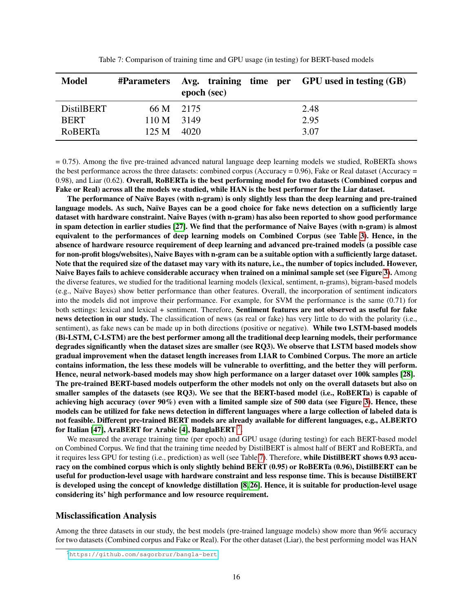<span id="page-15-2"></span>

| <b>Model</b>      |              | epoch (sec) | #Parameters Avg. training time per GPU used in testing (GB) |
|-------------------|--------------|-------------|-------------------------------------------------------------|
| <b>DistilBERT</b> | 66 M 2175    |             | 2.48                                                        |
| <b>BERT</b>       | $110 M$ 3149 |             | 2.95                                                        |
| <b>RoBERTa</b>    | 125 M        | 4020        | 3.07                                                        |

Table 7: Comparison of training time and GPU usage (in testing) for BERT-based models

= 0.75). Among the five pre-trained advanced natural language deep learning models we studied, RoBERTa shows the best performance across the three datasets: combined corpus (Accuracy =  $0.96$ ), Fake or Real dataset (Accuracy = 0.98), and Liar (0.62). Overall, RoBERTa is the best performing model for two datasets (Combined corpus and Fake or Real) across all the models we studied, while HAN is the best performer for the Liar dataset.

The performance of Naïve Bayes (with n-gram) is only slightly less than the deep learning and pre-trained language models. As such, Naïve Bayes can be a good choice for fake news detection on a sufficiently large dataset with hardware constraint. Naive Bayes (with n-gram) has also been reported to show good performance in spam detection in earlier studies [\[27\]](#page-19-19). We find that the performance of Naive Bayes (with n-gram) is almost equivalent to the performances of deep learning models on Combined Corpus (see Table [3\)](#page-10-0). Hence, in the absence of hardware resource requirement of deep learning and advanced pre-trained models (a possible case for non-profit blogs/websites), Naive Bayes with n-gram can be a suitable option with a sufficiently large dataset. Note that the required size of the dataset may vary with its nature, i.e., the number of topics included. However, Naive Bayes fails to achieve considerable accuracy when trained on a minimal sample set (see Figure [3\)](#page-12-0). Among the diverse features, we studied for the traditional learning models (lexical, sentiment, n-grams), bigram-based models (e.g., Na¨ıve Bayes) show better performance than other features. Overall, the incorporation of sentiment indicators into the models did not improve their performance. For example, for SVM the performance is the same (0.71) for both settings: lexical and lexical + sentiment. Therefore, Sentiment features are not observed as useful for fake news detection in our study. The classification of news (as real or fake) has very little to do with the polarity (i.e., sentiment), as fake news can be made up in both directions (positive or negative). While two LSTM-based models (Bi-LSTM, C-LSTM) are the best performer among all the traditional deep learning models, their performance degrades significantly when the dataset sizes are smaller (see RQ3). We observe that LSTM based models show gradual improvement when the dataset length increases from LIAR to Combined Corpus. The more an article contains information, the less these models will be vulnerable to overfitting, and the better they will perform. Hence, neural network-based models may show high performance on a larger dataset over 100k samples [\[28\]](#page-19-20). The pre-trained BERT-based models outperform the other models not only on the overall datasets but also on smaller samples of the datasets (see RQ3). We see that the BERT-based model (i.e., RoBERTa) is capable of achieving high accuracy (over 90%) even with a limited sample size of 500 data (see Figure [3\)](#page-12-0). Hence, these models can be utilized for fake news detection in different languages where a large collection of labeled data is not feasible. Different pre-trained BERT models are already available for different languages, e.g., ALBERTO for Italian [\[47\]](#page-19-10), AraBERT for Arabic [\[4\]](#page-17-1), BanglaBERT  $^7$  $^7$ .

We measured the average training time (per epoch) and GPU usage (during testing) for each BERT-based model on Combined Corpus. We find that the training time needed by DistilBERT is almost half of BERT and RoBERTa, and it requires less GPU for testing (i.e., prediction) as well (see Table [7\)](#page-15-2). Therefore, while DistilBERT shows 0.93 accuracy on the combined corpus which is only slightly behind BERT (0.95) or RoBERTa (0.96), DistilBERT can be useful for production-level usage with hardware constraint and less response time. This is because DistilBERT is developed using the concept of knowledge distillation [\[8,](#page-18-17) [26\]](#page-18-18). Hence, it is suitable for production-level usage considering its' high performance and low resource requirement.

#### <span id="page-15-0"></span>Misclassification Analysis

Among the three datasets in our study, the best models (pre-trained language models) show more than 96% accuracy for two datasets (Combined corpus and Fake or Real). For the other dataset (Liar), the best performing model was HAN

<span id="page-15-1"></span><sup>7</sup><https://github.com/sagorbrur/bangla-bert>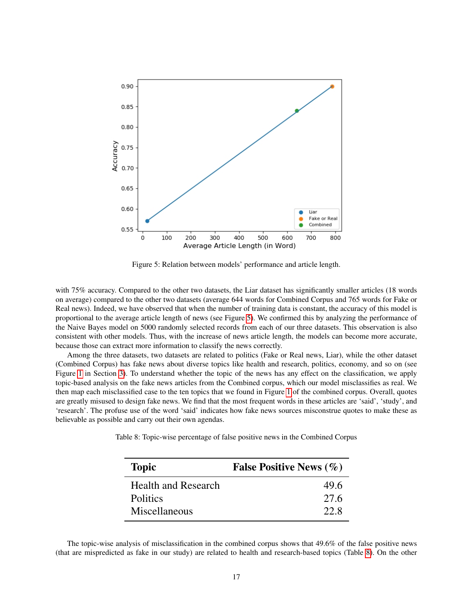<span id="page-16-0"></span>

Figure 5: Relation between models' performance and article length.

with 75% accuracy. Compared to the other two datasets, the Liar dataset has significantly smaller articles (18 words on average) compared to the other two datasets (average 644 words for Combined Corpus and 765 words for Fake or Real news). Indeed, we have observed that when the number of training data is constant, the accuracy of this model is proportional to the average article length of news (see Figure [5\)](#page-16-0). We confirmed this by analyzing the performance of the Naive Bayes model on 5000 randomly selected records from each of our three datasets. This observation is also consistent with other models. Thus, with the increase of news article length, the models can become more accurate, because those can extract more information to classify the news correctly.

Among the three datasets, two datasets are related to politics (Fake or Real news, Liar), while the other dataset (Combined Corpus) has fake news about diverse topics like health and research, politics, economy, and so on (see Figure [1](#page-6-1) in Section [3\)](#page-4-0). To understand whether the topic of the news has any effect on the classification, we apply topic-based analysis on the fake news articles from the Combined corpus, which our model misclassifies as real. We then map each misclassified case to the ten topics that we found in Figure [1](#page-6-1) of the combined corpus. Overall, quotes are greatly misused to design fake news. We find that the most frequent words in these articles are 'said', 'study', and 'research'. The profuse use of the word 'said' indicates how fake news sources misconstrue quotes to make these as believable as possible and carry out their own agendas.

<span id="page-16-1"></span>Table 8: Topic-wise percentage of false positive news in the Combined Corpus

| <b>Topic</b>               | <b>False Positive News (%)</b> |
|----------------------------|--------------------------------|
| <b>Health and Research</b> | 49.6                           |
| <b>Politics</b>            | 27.6                           |
| Miscellaneous              | 22. R                          |

The topic-wise analysis of misclassification in the combined corpus shows that 49.6% of the false positive news (that are mispredicted as fake in our study) are related to health and research-based topics (Table [8\)](#page-16-1). On the other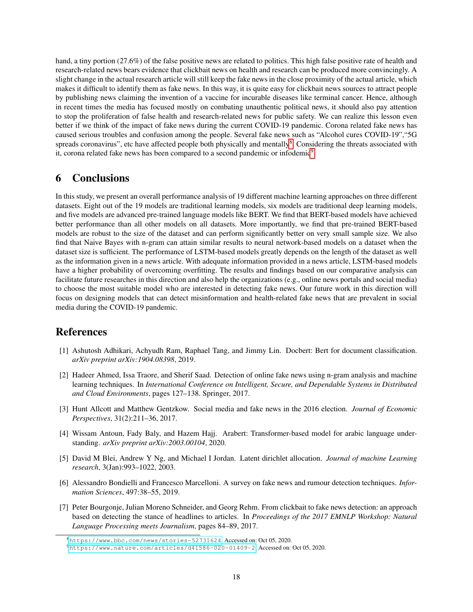hand, a tiny portion (27.6%) of the false positive news are related to politics. This high false positive rate of health and research-related news bears evidence that clickbait news on health and research can be produced more convincingly. A slight change in the actual research article will still keep the fake news in the close proximity of the actual article, which makes it difficult to identify them as fake news. In this way, it is quite easy for clickbait news sources to attract people by publishing news claiming the invention of a vaccine for incurable diseases like terminal cancer. Hence, although in recent times the media has focused mostly on combating unauthentic political news, it should also pay attention to stop the proliferation of false health and research-related news for public safety. We can realize this lesson even better if we think of the impact of fake news during the current COVID-19 pandemic. Corona related fake news has caused serious troubles and confusion among the people. Several fake news such as "Alcohol cures COVID-19","5G spreads coronavirus", etc have affected people both physically and mentally<sup>[8](#page-17-8)</sup>. Considering the threats associated with it, corona related fake news has been compared to a second pandemic or infodemic<sup>[9](#page-17-9)</sup>.

# <span id="page-17-2"></span>6 Conclusions

In this study, we present an overall performance analysis of 19 different machine learning approaches on three different datasets. Eight out of the 19 models are traditional learning models, six models are traditional deep learning models, and five models are advanced pre-trained language models like BERT. We find that BERT-based models have achieved better performance than all other models on all datasets. More importantly, we find that pre-trained BERT-based models are robust to the size of the dataset and can perform significantly better on very small sample size. We also find that Naive Bayes with n-gram can attain similar results to neural network-based models on a dataset when the dataset size is sufficient. The performance of LSTM-based models greatly depends on the length of the dataset as well as the information given in a news article. With adequate information provided in a news article, LSTM-based models have a higher probability of overcoming overfitting. The results and findings based on our comparative analysis can facilitate future researches in this direction and also help the organizations (e.g., online news portals and social media) to choose the most suitable model who are interested in detecting fake news. Our future work in this direction will focus on designing models that can detect misinformation and health-related fake news that are prevalent in social media during the COVID-19 pandemic.

# References

- <span id="page-17-0"></span>[1] Ashutosh Adhikari, Achyudh Ram, Raphael Tang, and Jimmy Lin. Docbert: Bert for document classification. *arXiv preprint arXiv:1904.08398*, 2019.
- <span id="page-17-6"></span>[2] Hadeer Ahmed, Issa Traore, and Sherif Saad. Detection of online fake news using n-gram analysis and machine learning techniques. In *International Conference on Intelligent, Secure, and Dependable Systems in Distributed and Cloud Environments*, pages 127–138. Springer, 2017.
- <span id="page-17-3"></span>[3] Hunt Allcott and Matthew Gentzkow. Social media and fake news in the 2016 election. *Journal of Economic Perspectives*, 31(2):211–36, 2017.
- <span id="page-17-1"></span>[4] Wissam Antoun, Fady Baly, and Hazem Hajj. Arabert: Transformer-based model for arabic language understanding. *arXiv preprint arXiv:2003.00104*, 2020.
- <span id="page-17-5"></span>[5] David M Blei, Andrew Y Ng, and Michael I Jordan. Latent dirichlet allocation. *Journal of machine Learning research*, 3(Jan):993–1022, 2003.
- <span id="page-17-4"></span>[6] Alessandro Bondielli and Francesco Marcelloni. A survey on fake news and rumour detection techniques. *Information Sciences*, 497:38–55, 2019.
- <span id="page-17-7"></span>[7] Peter Bourgonje, Julian Moreno Schneider, and Georg Rehm. From clickbait to fake news detection: an approach based on detecting the stance of headlines to articles. In *Proceedings of the 2017 EMNLP Workshop: Natural Language Processing meets Journalism*, pages 84–89, 2017.

<span id="page-17-8"></span><sup>8</sup><https://www.bbc.com/news/stories-52731624>, Accessed on: Oct 05, 2020.

<span id="page-17-9"></span><sup>9</sup><https://www.nature.com/articles/d41586-020-01409-2>, Accessed on: Oct 05, 2020.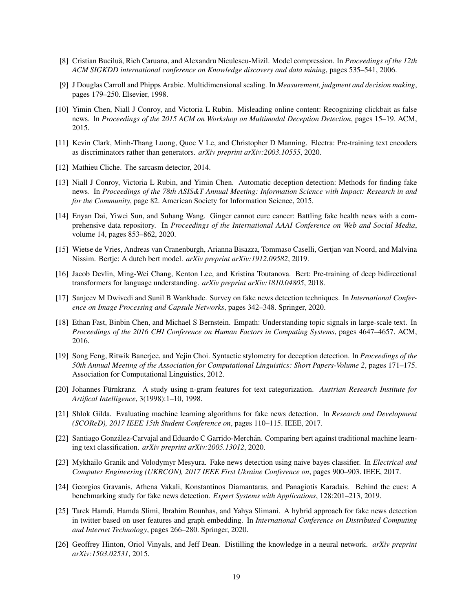- <span id="page-18-17"></span>[8] Cristian Buciluă, Rich Caruana, and Alexandru Niculescu-Mizil. Model compression. In *Proceedings of the 12th ACM SIGKDD international conference on Knowledge discovery and data mining*, pages 535–541, 2006.
- <span id="page-18-13"></span>[9] J Douglas Carroll and Phipps Arabie. Multidimensional scaling. In *Measurement, judgment and decision making*, pages 179–250. Elsevier, 1998.
- <span id="page-18-16"></span>[10] Yimin Chen, Niall J Conroy, and Victoria L Rubin. Misleading online content: Recognizing clickbait as false news. In *Proceedings of the 2015 ACM on Workshop on Multimodal Deception Detection*, pages 15–19. ACM, 2015.
- <span id="page-18-5"></span>[11] Kevin Clark, Minh-Thang Luong, Quoc V Le, and Christopher D Manning. Electra: Pre-training text encoders as discriminators rather than generators. *arXiv preprint arXiv:2003.10555*, 2020.
- <span id="page-18-10"></span>[12] Mathieu Cliche. The sarcasm detector, 2014.
- <span id="page-18-8"></span>[13] Niall J Conroy, Victoria L Rubin, and Yimin Chen. Automatic deception detection: Methods for finding fake news. In *Proceedings of the 78th ASIS&T Annual Meeting: Information Science with Impact: Research in and for the Community*, page 82. American Society for Information Science, 2015.
- <span id="page-18-0"></span>[14] Enyan Dai, Yiwei Sun, and Suhang Wang. Ginger cannot cure cancer: Battling fake health news with a comprehensive data repository. In *Proceedings of the International AAAI Conference on Web and Social Media*, volume 14, pages 853–862, 2020.
- <span id="page-18-6"></span>[15] Wietse de Vries, Andreas van Cranenburgh, Arianna Bisazza, Tommaso Caselli, Gertjan van Noord, and Malvina Nissim. Bertje: A dutch bert model. *arXiv preprint arXiv:1912.09582*, 2019.
- <span id="page-18-4"></span>[16] Jacob Devlin, Ming-Wei Chang, Kenton Lee, and Kristina Toutanova. Bert: Pre-training of deep bidirectional transformers for language understanding. *arXiv preprint arXiv:1810.04805*, 2018.
- <span id="page-18-12"></span>[17] Sanjeev M Dwivedi and Sunil B Wankhade. Survey on fake news detection techniques. In *International Conference on Image Processing and Capsule Networks*, pages 342–348. Springer, 2020.
- <span id="page-18-15"></span>[18] Ethan Fast, Binbin Chen, and Michael S Bernstein. Empath: Understanding topic signals in large-scale text. In *Proceedings of the 2016 CHI Conference on Human Factors in Computing Systems*, pages 4647–4657. ACM, 2016.
- <span id="page-18-9"></span>[19] Song Feng, Ritwik Banerjee, and Yejin Choi. Syntactic stylometry for deception detection. In *Proceedings of the 50th Annual Meeting of the Association for Computational Linguistics: Short Papers-Volume 2*, pages 171–175. Association for Computational Linguistics, 2012.
- <span id="page-18-7"></span>[20] Johannes Fürnkranz. A study using n-gram features for text categorization. Austrian Research Institute for *Artifical Intelligence*, 3(1998):1–10, 1998.
- <span id="page-18-1"></span>[21] Shlok Gilda. Evaluating machine learning algorithms for fake news detection. In *Research and Development (SCOReD), 2017 IEEE 15th Student Conference on*, pages 110–115. IEEE, 2017.
- <span id="page-18-3"></span>[22] Santiago González-Carvajal and Eduardo C Garrido-Merchán. Comparing bert against traditional machine learning text classification. *arXiv preprint arXiv:2005.13012*, 2020.
- <span id="page-18-14"></span>[23] Mykhailo Granik and Volodymyr Mesyura. Fake news detection using naive bayes classifier. In *Electrical and Computer Engineering (UKRCON), 2017 IEEE First Ukraine Conference on*, pages 900–903. IEEE, 2017.
- <span id="page-18-2"></span>[24] Georgios Gravanis, Athena Vakali, Konstantinos Diamantaras, and Panagiotis Karadais. Behind the cues: A benchmarking study for fake news detection. *Expert Systems with Applications*, 128:201–213, 2019.
- <span id="page-18-11"></span>[25] Tarek Hamdi, Hamda Slimi, Ibrahim Bounhas, and Yahya Slimani. A hybrid approach for fake news detection in twitter based on user features and graph embedding. In *International Conference on Distributed Computing and Internet Technology*, pages 266–280. Springer, 2020.
- <span id="page-18-18"></span>[26] Geoffrey Hinton, Oriol Vinyals, and Jeff Dean. Distilling the knowledge in a neural network. *arXiv preprint arXiv:1503.02531*, 2015.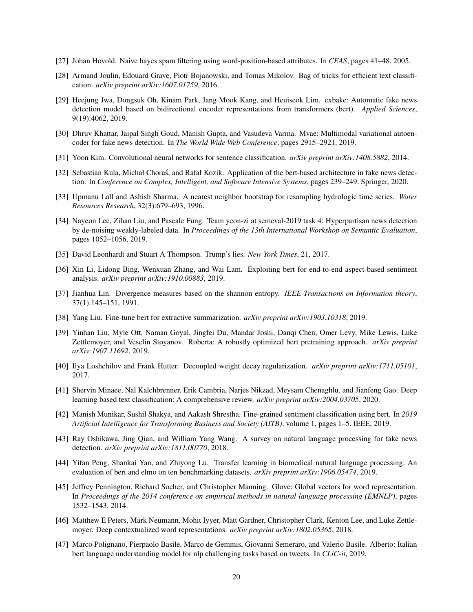- <span id="page-19-19"></span>[27] Johan Hovold. Naive bayes spam filtering using word-position-based attributes. In *CEAS*, pages 41–48, 2005.
- <span id="page-19-20"></span>[28] Armand Joulin, Edouard Grave, Piotr Bojanowski, and Tomas Mikolov. Bag of tricks for efficient text classification. *arXiv preprint arXiv:1607.01759*, 2016.
- <span id="page-19-2"></span>[29] Heejung Jwa, Dongsuk Oh, Kinam Park, Jang Mook Kang, and Heuiseok Lim. exbake: Automatic fake news detection model based on bidirectional encoder representations from transformers (bert). *Applied Sciences*, 9(19):4062, 2019.
- <span id="page-19-1"></span>[30] Dhruv Khattar, Jaipal Singh Goud, Manish Gupta, and Vasudeva Varma. Mvae: Multimodal variational autoencoder for fake news detection. In *The World Wide Web Conference*, pages 2915–2921, 2019.
- <span id="page-19-16"></span>[31] Yoon Kim. Convolutional neural networks for sentence classification. *arXiv preprint arXiv:1408.5882*, 2014.
- <span id="page-19-3"></span>[32] Sebastian Kula, Michał Choras, and Rafał Kozik. Application of the bert-based architecture in fake news detection. In *Conference on Complex, Intelligent, and Software Intensive Systems*, pages 239–249. Springer, 2020.
- <span id="page-19-15"></span>[33] Upmanu Lall and Ashish Sharma. A nearest neighbor bootstrap for resampling hydrologic time series. *Water Resources Research*, 32(3):679–693, 1996.
- <span id="page-19-12"></span>[34] Nayeon Lee, Zihan Liu, and Pascale Fung. Team yeon-zi at semeval-2019 task 4: Hyperpartisan news detection by de-noising weakly-labeled data. In *Proceedings of the 13th International Workshop on Semantic Evaluation*, pages 1052–1056, 2019.
- <span id="page-19-0"></span>[35] David Leonhardt and Stuart A Thompson. Trump's lies. *New York Times*, 21, 2017.
- <span id="page-19-4"></span>[36] Xin Li, Lidong Bing, Wenxuan Zhang, and Wai Lam. Exploiting bert for end-to-end aspect-based sentiment analysis. *arXiv preprint arXiv:1910.00883*, 2019.
- <span id="page-19-13"></span>[37] Jianhua Lin. Divergence measures based on the shannon entropy. *IEEE Transactions on Information theory*, 37(1):145–151, 1991.
- <span id="page-19-5"></span>[38] Yang Liu. Fine-tune bert for extractive summarization. *arXiv preprint arXiv:1903.10318*, 2019.
- <span id="page-19-8"></span>[39] Yinhan Liu, Myle Ott, Naman Goyal, Jingfei Du, Mandar Joshi, Danqi Chen, Omer Levy, Mike Lewis, Luke Zettlemoyer, and Veselin Stoyanov. Roberta: A robustly optimized bert pretraining approach. *arXiv preprint arXiv:1907.11692*, 2019.
- <span id="page-19-17"></span>[40] Ilya Loshchilov and Frank Hutter. Decoupled weight decay regularization. *arXiv preprint arXiv:1711.05101*, 2017.
- <span id="page-19-18"></span>[41] Shervin Minaee, Nal Kalchbrenner, Erik Cambria, Narjes Nikzad, Meysam Chenaghlu, and Jianfeng Gao. Deep learning based text classification: A comprehensive review. *arXiv preprint arXiv:2004.03705*, 2020.
- <span id="page-19-6"></span>[42] Manish Munikar, Sushil Shakya, and Aakash Shrestha. Fine-grained sentiment classification using bert. In *2019 Artificial Intelligence for Transforming Business and Society (AITB)*, volume 1, pages 1–5. IEEE, 2019.
- <span id="page-19-11"></span>[43] Ray Oshikawa, Jing Qian, and William Yang Wang. A survey on natural language processing for fake news detection. *arXiv preprint arXiv:1811.00770*, 2018.
- <span id="page-19-7"></span>[44] Yifan Peng, Shankai Yan, and Zhiyong Lu. Transfer learning in biomedical natural language processing: An evaluation of bert and elmo on ten benchmarking datasets. *arXiv preprint arXiv:1906.05474*, 2019.
- <span id="page-19-14"></span>[45] Jeffrey Pennington, Richard Socher, and Christopher Manning. Glove: Global vectors for word representation. In *Proceedings of the 2014 conference on empirical methods in natural language processing (EMNLP)*, pages 1532–1543, 2014.
- <span id="page-19-9"></span>[46] Matthew E Peters, Mark Neumann, Mohit Iyyer, Matt Gardner, Christopher Clark, Kenton Lee, and Luke Zettlemoyer. Deep contextualized word representations. *arXiv preprint arXiv:1802.05365*, 2018.
- <span id="page-19-10"></span>[47] Marco Polignano, Pierpaolo Basile, Marco de Gemmis, Giovanni Semeraro, and Valerio Basile. Alberto: Italian bert language understanding model for nlp challenging tasks based on tweets. In *CLiC-it*, 2019.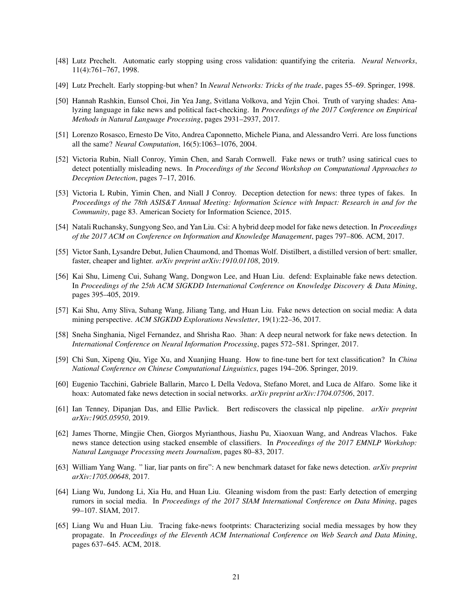- <span id="page-20-14"></span>[48] Lutz Prechelt. Automatic early stopping using cross validation: quantifying the criteria. *Neural Networks*, 11(4):761–767, 1998.
- <span id="page-20-13"></span>[49] Lutz Prechelt. Early stopping-but when? In *Neural Networks: Tricks of the trade*, pages 55–69. Springer, 1998.
- <span id="page-20-8"></span>[50] Hannah Rashkin, Eunsol Choi, Jin Yea Jang, Svitlana Volkova, and Yejin Choi. Truth of varying shades: Analyzing language in fake news and political fact-checking. In *Proceedings of the 2017 Conference on Empirical Methods in Natural Language Processing*, pages 2931–2937, 2017.
- <span id="page-20-16"></span>[51] Lorenzo Rosasco, Ernesto De Vito, Andrea Caponnetto, Michele Piana, and Alessandro Verri. Are loss functions all the same? *Neural Computation*, 16(5):1063–1076, 2004.
- <span id="page-20-0"></span>[52] Victoria Rubin, Niall Conroy, Yimin Chen, and Sarah Cornwell. Fake news or truth? using satirical cues to detect potentially misleading news. In *Proceedings of the Second Workshop on Computational Approaches to Deception Detection*, pages 7–17, 2016.
- <span id="page-20-6"></span>[53] Victoria L Rubin, Yimin Chen, and Niall J Conroy. Deception detection for news: three types of fakes. In *Proceedings of the 78th ASIS&T Annual Meeting: Information Science with Impact: Research in and for the Community*, page 83. American Society for Information Science, 2015.
- <span id="page-20-10"></span>[54] Natali Ruchansky, Sungyong Seo, and Yan Liu. Csi: A hybrid deep model for fake news detection. In *Proceedings of the 2017 ACM on Conference on Information and Knowledge Management*, pages 797–806. ACM, 2017.
- <span id="page-20-5"></span>[55] Victor Sanh, Lysandre Debut, Julien Chaumond, and Thomas Wolf. Distilbert, a distilled version of bert: smaller, faster, cheaper and lighter. *arXiv preprint arXiv:1910.01108*, 2019.
- <span id="page-20-1"></span>[56] Kai Shu, Limeng Cui, Suhang Wang, Dongwon Lee, and Huan Liu. defend: Explainable fake news detection. In *Proceedings of the 25th ACM SIGKDD International Conference on Knowledge Discovery & Data Mining*, pages 395–405, 2019.
- <span id="page-20-7"></span>[57] Kai Shu, Amy Sliva, Suhang Wang, Jiliang Tang, and Huan Liu. Fake news detection on social media: A data mining perspective. *ACM SIGKDD Explorations Newsletter*, 19(1):22–36, 2017.
- <span id="page-20-9"></span>[58] Sneha Singhania, Nigel Fernandez, and Shrisha Rao. 3han: A deep neural network for fake news detection. In *International Conference on Neural Information Processing*, pages 572–581. Springer, 2017.
- <span id="page-20-15"></span>[59] Chi Sun, Xipeng Qiu, Yige Xu, and Xuanjing Huang. How to fine-tune bert for text classification? In *China National Conference on Chinese Computational Linguistics*, pages 194–206. Springer, 2019.
- <span id="page-20-2"></span>[60] Eugenio Tacchini, Gabriele Ballarin, Marco L Della Vedova, Stefano Moret, and Luca de Alfaro. Some like it hoax: Automated fake news detection in social networks. *arXiv preprint arXiv:1704.07506*, 2017.
- <span id="page-20-4"></span>[61] Ian Tenney, Dipanjan Das, and Ellie Pavlick. Bert rediscovers the classical nlp pipeline. *arXiv preprint arXiv:1905.05950*, 2019.
- <span id="page-20-11"></span>[62] James Thorne, Mingjie Chen, Giorgos Myrianthous, Jiashu Pu, Xiaoxuan Wang, and Andreas Vlachos. Fake news stance detection using stacked ensemble of classifiers. In *Proceedings of the 2017 EMNLP Workshop: Natural Language Processing meets Journalism*, pages 80–83, 2017.
- <span id="page-20-3"></span>[63] William Yang Wang. " liar, liar pants on fire": A new benchmark dataset for fake news detection. *arXiv preprint arXiv:1705.00648*, 2017.
- <span id="page-20-17"></span>[64] Liang Wu, Jundong Li, Xia Hu, and Huan Liu. Gleaning wisdom from the past: Early detection of emerging rumors in social media. In *Proceedings of the 2017 SIAM International Conference on Data Mining*, pages 99–107. SIAM, 2017.
- <span id="page-20-12"></span>[65] Liang Wu and Huan Liu. Tracing fake-news footprints: Characterizing social media messages by how they propagate. In *Proceedings of the Eleventh ACM International Conference on Web Search and Data Mining*, pages 637–645. ACM, 2018.